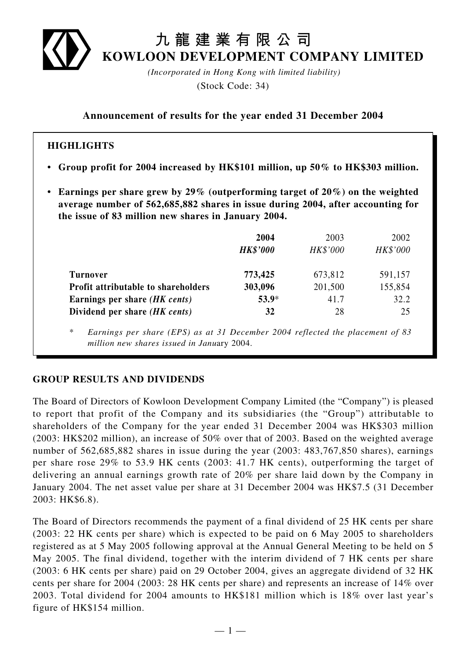

# **九龍建業有限公司 KOWLOON DEVELOPMENT COMPANY LIMITED**

*(Incorporated in Hong Kong with limited liability)* (Stock Code: 34)

**Announcement of results for the year ended 31 December 2004**

### **HIGHLIGHTS**

- **Group profit for 2004 increased by HK\$101 million, up 50% to HK\$303 million.**
- **Earnings per share grew by 29% (outperforming target of 20%) on the weighted average number of 562,685,882 shares in issue during 2004, after accounting for the issue of 83 million new shares in January 2004.**

|                                     | 2004            | 2003     | 2002     |
|-------------------------------------|-----------------|----------|----------|
|                                     | <b>HK\$'000</b> | HK\$'000 | HK\$'000 |
| <b>Turnover</b>                     | 773,425         | 673,812  | 591,157  |
| Profit attributable to shareholders | 303,096         | 201,500  | 155,854  |
| Earnings per share (HK cents)       | $53.9*$         | 41.7     | 32.2     |
| Dividend per share (HK cents)       | 32              | 28       | 25       |

\* *Earnings per share (EPS) as at 31 December 2004 reflected the placement of 83 million new shares issued in Janu*ary 2004.

#### **GROUP RESULTS AND DIVIDENDS**

The Board of Directors of Kowloon Development Company Limited (the "Company") is pleased to report that profit of the Company and its subsidiaries (the "Group") attributable to shareholders of the Company for the year ended 31 December 2004 was HK\$303 million (2003: HK\$202 million), an increase of 50% over that of 2003. Based on the weighted average number of 562,685,882 shares in issue during the year (2003: 483,767,850 shares), earnings per share rose 29% to 53.9 HK cents (2003: 41.7 HK cents), outperforming the target of delivering an annual earnings growth rate of 20% per share laid down by the Company in January 2004. The net asset value per share at 31 December 2004 was HK\$7.5 (31 December 2003: HK\$6.8).

The Board of Directors recommends the payment of a final dividend of 25 HK cents per share (2003: 22 HK cents per share) which is expected to be paid on 6 May 2005 to shareholders registered as at 5 May 2005 following approval at the Annual General Meeting to be held on 5 May 2005. The final dividend, together with the interim dividend of 7 HK cents per share (2003: 6 HK cents per share) paid on 29 October 2004, gives an aggregate dividend of 32 HK cents per share for 2004 (2003: 28 HK cents per share) and represents an increase of 14% over 2003. Total dividend for 2004 amounts to HK\$181 million which is 18% over last year's figure of HK\$154 million.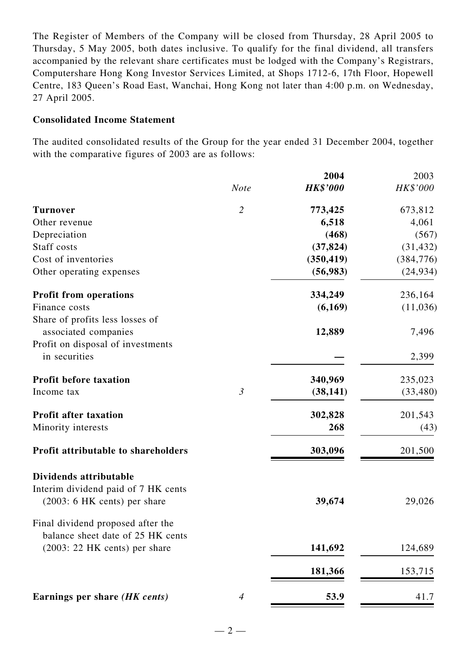The Register of Members of the Company will be closed from Thursday, 28 April 2005 to Thursday, 5 May 2005, both dates inclusive. To qualify for the final dividend, all transfers accompanied by the relevant share certificates must be lodged with the Company's Registrars, Computershare Hong Kong Investor Services Limited, at Shops 1712-6, 17th Floor, Hopewell Centre, 183 Queen's Road East, Wanchai, Hong Kong not later than 4:00 p.m. on Wednesday, 27 April 2005.

### **Consolidated Income Statement**

The audited consolidated results of the Group for the year ended 31 December 2004, together with the comparative figures of 2003 are as follows:

|                                     |                | 2004            | 2003       |
|-------------------------------------|----------------|-----------------|------------|
|                                     | <b>Note</b>    | <b>HK\$'000</b> | HK\$'000   |
| <b>Turnover</b>                     | $\overline{2}$ | 773,425         | 673,812    |
| Other revenue                       |                | 6,518           | 4,061      |
| Depreciation                        |                | (468)           | (567)      |
| Staff costs                         |                | (37, 824)       | (31, 432)  |
| Cost of inventories                 |                | (350, 419)      | (384, 776) |
| Other operating expenses            |                | (56,983)        | (24, 934)  |
| <b>Profit from operations</b>       |                | 334,249         | 236,164    |
| Finance costs                       |                | (6,169)         | (11,036)   |
| Share of profits less losses of     |                |                 |            |
| associated companies                |                | 12,889          | 7,496      |
| Profit on disposal of investments   |                |                 |            |
| in securities                       |                |                 | 2,399      |
| <b>Profit before taxation</b>       |                | 340,969         | 235,023    |
| Income tax                          | $\mathfrak{Z}$ | (38, 141)       | (33, 480)  |
| <b>Profit after taxation</b>        |                | 302,828         | 201,543    |
| Minority interests                  |                | 268             | (43)       |
| Profit attributable to shareholders |                | 303,096         | 201,500    |
| Dividends attributable              |                |                 |            |
| Interim dividend paid of 7 HK cents |                |                 |            |
| (2003: 6 HK cents) per share        |                | 39,674          | 29,026     |
| Final dividend proposed after the   |                |                 |            |
| balance sheet date of 25 HK cents   |                |                 |            |
| $(2003: 22$ HK cents) per share     |                | 141,692         | 124,689    |
|                                     |                | 181,366         | 153,715    |
| Earnings per share (HK cents)       | $\overline{4}$ | 53.9            | 41.7       |
|                                     |                |                 |            |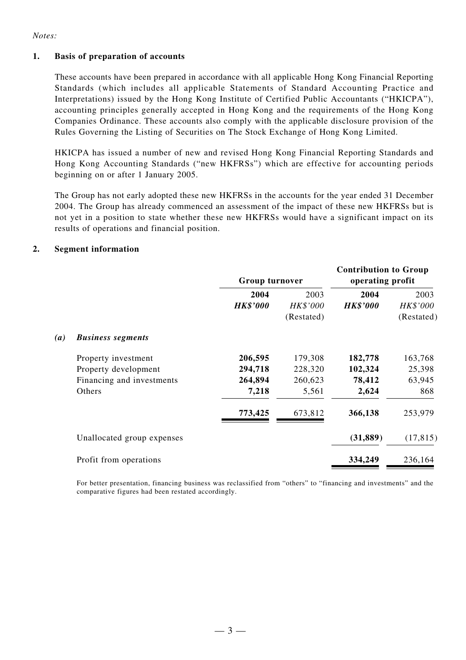#### *Notes:*

#### **1. Basis of preparation of accounts**

These accounts have been prepared in accordance with all applicable Hong Kong Financial Reporting Standards (which includes all applicable Statements of Standard Accounting Practice and Interpretations) issued by the Hong Kong Institute of Certified Public Accountants ("HKICPA"), accounting principles generally accepted in Hong Kong and the requirements of the Hong Kong Companies Ordinance. These accounts also comply with the applicable disclosure provision of the Rules Governing the Listing of Securities on The Stock Exchange of Hong Kong Limited.

HKICPA has issued a number of new and revised Hong Kong Financial Reporting Standards and Hong Kong Accounting Standards ("new HKFRSs") which are effective for accounting periods beginning on or after 1 January 2005.

The Group has not early adopted these new HKFRSs in the accounts for the year ended 31 December 2004. The Group has already commenced an assessment of the impact of these new HKFRSs but is not yet in a position to state whether these new HKFRSs would have a significant impact on its results of operations and financial position.

#### **2. Segment information**

|     |                            | Group turnover  |            | <b>Contribution to Group</b><br>operating profit |            |
|-----|----------------------------|-----------------|------------|--------------------------------------------------|------------|
|     |                            | 2004            | 2003       | 2004                                             | 2003       |
|     |                            | <b>HK\$'000</b> | HK\$'000   | <b>HK\$'000</b>                                  | HK\$'000   |
|     |                            |                 | (Restated) |                                                  | (Restated) |
| (a) | <b>Business segments</b>   |                 |            |                                                  |            |
|     | Property investment        | 206,595         | 179,308    | 182,778                                          | 163,768    |
|     | Property development       | 294,718         | 228,320    | 102,324                                          | 25,398     |
|     | Financing and investments  | 264,894         | 260,623    | 78,412                                           | 63,945     |
|     | Others                     | 7,218           | 5,561      | 2,624                                            | 868        |
|     |                            | 773,425         | 673,812    | 366,138                                          | 253,979    |
|     | Unallocated group expenses |                 |            | (31, 889)                                        | (17, 815)  |
|     | Profit from operations     |                 |            | 334,249                                          | 236,164    |
|     |                            |                 |            |                                                  |            |

For better presentation, financing business was reclassified from "others" to "financing and investments" and the comparative figures had been restated accordingly.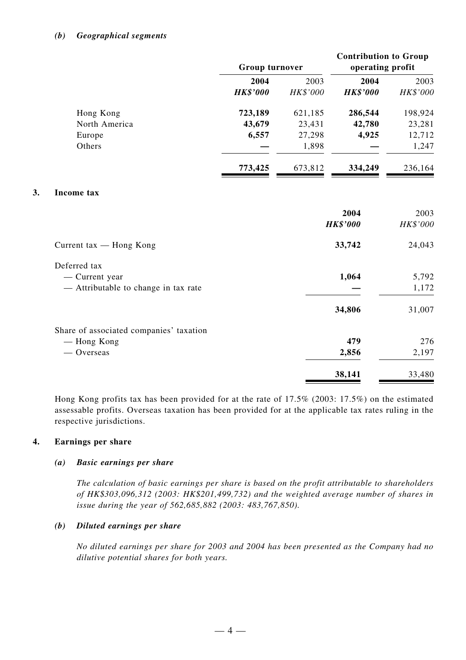#### *(b) Geographical segments*

|    |                                         | Group turnover  |          | <b>Contribution to Group</b><br>operating profit |          |
|----|-----------------------------------------|-----------------|----------|--------------------------------------------------|----------|
|    |                                         | 2004            | 2003     | 2004                                             | 2003     |
|    |                                         | <b>HK\$'000</b> | HK\$'000 | <b>HK\$'000</b>                                  | HK\$'000 |
|    | Hong Kong                               | 723,189         | 621,185  | 286,544                                          | 198,924  |
|    | North America                           | 43,679          | 23,431   | 42,780                                           | 23,281   |
|    | Europe                                  | 6,557           | 27,298   | 4,925                                            | 12,712   |
|    | Others                                  |                 | 1,898    |                                                  | 1,247    |
|    |                                         | 773,425         | 673,812  | 334,249                                          | 236,164  |
| 3. | Income tax                              |                 |          |                                                  |          |
|    |                                         |                 |          | 2004                                             | 2003     |
|    |                                         |                 |          | <b>HK\$'000</b>                                  | HK\$'000 |
|    | Current tax - Hong Kong                 |                 |          | 33,742                                           | 24,043   |
|    | Deferred tax                            |                 |          |                                                  |          |
|    | - Current year                          |                 |          | 1,064                                            | 5,792    |
|    | - Attributable to change in tax rate    |                 |          |                                                  | 1,172    |
|    |                                         |                 |          | 34,806                                           | 31,007   |
|    | Share of associated companies' taxation |                 |          |                                                  |          |
|    | — Hong Kong                             |                 |          | 479                                              | 276      |
|    | $-$ Overseas                            |                 |          | 2,856                                            | 2,197    |
|    |                                         |                 |          | 38,141                                           | 33,480   |

Hong Kong profits tax has been provided for at the rate of 17.5% (2003: 17.5%) on the estimated assessable profits. Overseas taxation has been provided for at the applicable tax rates ruling in the respective jurisdictions.

#### **4. Earnings per share**

#### *(a) Basic earnings per share*

*The calculation of basic earnings per share is based on the profit attributable to shareholders of HK\$303,096,312 (2003: HK\$201,499,732) and the weighted average number of shares in issue during the year of 562,685,882 (2003: 483,767,850).*

#### *(b) Diluted earnings per share*

*No diluted earnings per share for 2003 and 2004 has been presented as the Company had no dilutive potential shares for both years.*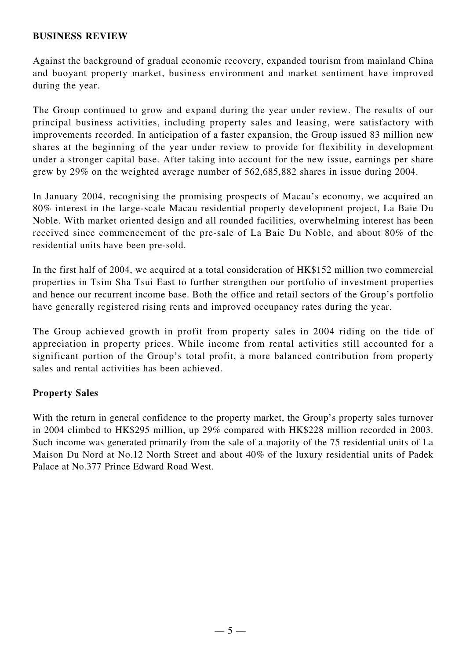#### **BUSINESS REVIEW**

Against the background of gradual economic recovery, expanded tourism from mainland China and buoyant property market, business environment and market sentiment have improved during the year.

The Group continued to grow and expand during the year under review. The results of our principal business activities, including property sales and leasing, were satisfactory with improvements recorded. In anticipation of a faster expansion, the Group issued 83 million new shares at the beginning of the year under review to provide for flexibility in development under a stronger capital base. After taking into account for the new issue, earnings per share grew by 29% on the weighted average number of 562,685,882 shares in issue during 2004.

In January 2004, recognising the promising prospects of Macau's economy, we acquired an 80% interest in the large-scale Macau residential property development project, La Baie Du Noble. With market oriented design and all rounded facilities, overwhelming interest has been received since commencement of the pre-sale of La Baie Du Noble, and about 80% of the residential units have been pre-sold.

In the first half of 2004, we acquired at a total consideration of HK\$152 million two commercial properties in Tsim Sha Tsui East to further strengthen our portfolio of investment properties and hence our recurrent income base. Both the office and retail sectors of the Group's portfolio have generally registered rising rents and improved occupancy rates during the year.

The Group achieved growth in profit from property sales in 2004 riding on the tide of appreciation in property prices. While income from rental activities still accounted for a significant portion of the Group's total profit, a more balanced contribution from property sales and rental activities has been achieved.

#### **Property Sales**

With the return in general confidence to the property market, the Group's property sales turnover in 2004 climbed to HK\$295 million, up 29% compared with HK\$228 million recorded in 2003. Such income was generated primarily from the sale of a majority of the 75 residential units of La Maison Du Nord at No.12 North Street and about 40% of the luxury residential units of Padek Palace at No.377 Prince Edward Road West.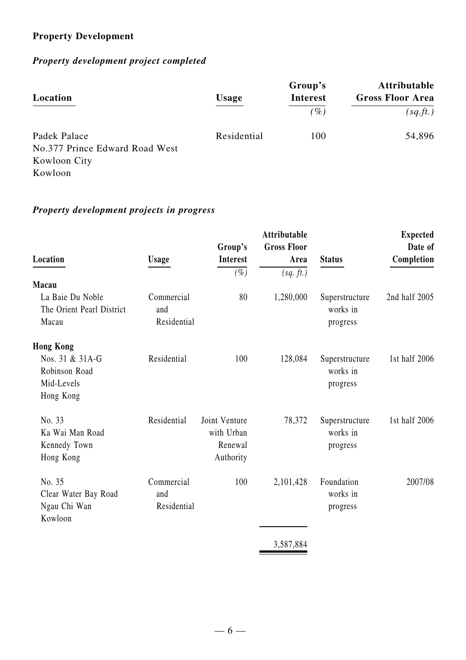# **Property Development**

# *Property development project completed*

| Location                                                                  | <b>Usage</b> | Group's<br><b>Interest</b><br>$($ %) | <b>Attributable</b><br><b>Gross Floor Area</b><br>(sq.ft.) |
|---------------------------------------------------------------------------|--------------|--------------------------------------|------------------------------------------------------------|
| Padek Palace<br>No.377 Prince Edward Road West<br>Kowloon City<br>Kowloon | Residential  | 100                                  | 54,896                                                     |

## *Property development projects in progress*

| $(\%)$  | (sq. ft.)                                      |                | Completion    |
|---------|------------------------------------------------|----------------|---------------|
|         |                                                |                |               |
|         |                                                |                |               |
|         | 1,280,000                                      | Superstructure | 2nd half 2005 |
|         |                                                | works in       |               |
|         |                                                | progress       |               |
|         |                                                |                |               |
| 100     | 128,084                                        | Superstructure | 1st half 2006 |
|         |                                                | works in       |               |
|         |                                                | progress       |               |
|         |                                                |                |               |
|         | 78,372                                         | Superstructure | 1st half 2006 |
|         |                                                | works in       |               |
| Renewal |                                                | progress       |               |
|         |                                                |                |               |
| 100     | 2,101,428                                      | Foundation     | 2007/08       |
|         |                                                | works in       |               |
|         |                                                | progress       |               |
|         |                                                |                |               |
|         | 3,587,884                                      |                |               |
|         | 80<br>Joint Venture<br>with Urban<br>Authority |                |               |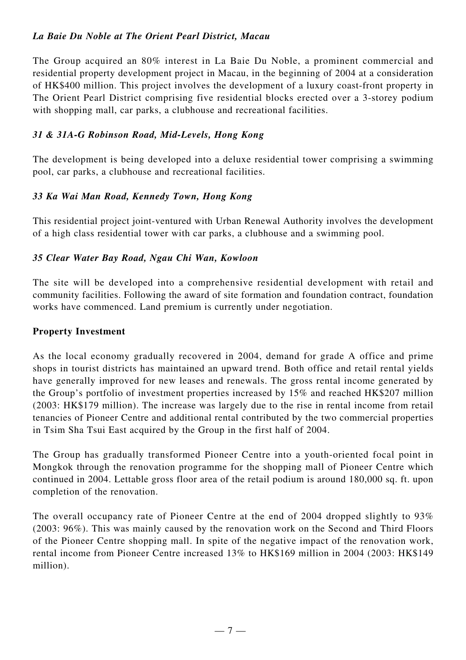### *La Baie Du Noble at The Orient Pearl District, Macau*

The Group acquired an 80% interest in La Baie Du Noble, a prominent commercial and residential property development project in Macau, in the beginning of 2004 at a consideration of HK\$400 million. This project involves the development of a luxury coast-front property in The Orient Pearl District comprising five residential blocks erected over a 3-storey podium with shopping mall, car parks, a clubhouse and recreational facilities.

### *31 & 31A-G Robinson Road, Mid-Levels, Hong Kong*

The development is being developed into a deluxe residential tower comprising a swimming pool, car parks, a clubhouse and recreational facilities.

### *33 Ka Wai Man Road, Kennedy Town, Hong Kong*

This residential project joint-ventured with Urban Renewal Authority involves the development of a high class residential tower with car parks, a clubhouse and a swimming pool.

#### *35 Clear Water Bay Road, Ngau Chi Wan, Kowloon*

The site will be developed into a comprehensive residential development with retail and community facilities. Following the award of site formation and foundation contract, foundation works have commenced. Land premium is currently under negotiation.

#### **Property Investment**

As the local economy gradually recovered in 2004, demand for grade A office and prime shops in tourist districts has maintained an upward trend. Both office and retail rental yields have generally improved for new leases and renewals. The gross rental income generated by the Group's portfolio of investment properties increased by 15% and reached HK\$207 million (2003: HK\$179 million). The increase was largely due to the rise in rental income from retail tenancies of Pioneer Centre and additional rental contributed by the two commercial properties in Tsim Sha Tsui East acquired by the Group in the first half of 2004.

The Group has gradually transformed Pioneer Centre into a youth-oriented focal point in Mongkok through the renovation programme for the shopping mall of Pioneer Centre which continued in 2004. Lettable gross floor area of the retail podium is around 180,000 sq. ft. upon completion of the renovation.

The overall occupancy rate of Pioneer Centre at the end of 2004 dropped slightly to 93% (2003: 96%). This was mainly caused by the renovation work on the Second and Third Floors of the Pioneer Centre shopping mall. In spite of the negative impact of the renovation work, rental income from Pioneer Centre increased 13% to HK\$169 million in 2004 (2003: HK\$149 million).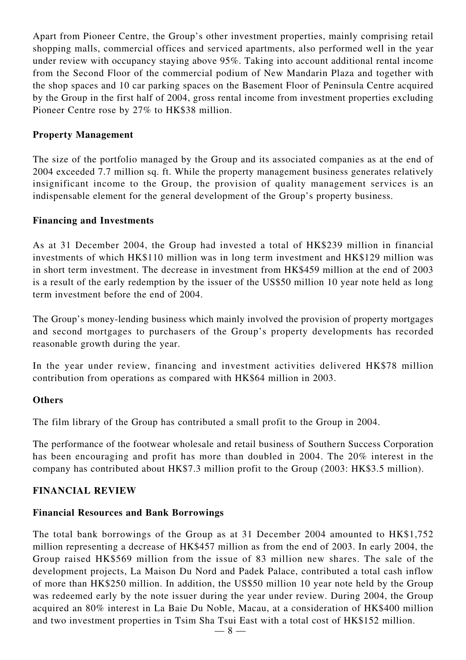Apart from Pioneer Centre, the Group's other investment properties, mainly comprising retail shopping malls, commercial offices and serviced apartments, also performed well in the year under review with occupancy staying above 95%. Taking into account additional rental income from the Second Floor of the commercial podium of New Mandarin Plaza and together with the shop spaces and 10 car parking spaces on the Basement Floor of Peninsula Centre acquired by the Group in the first half of 2004, gross rental income from investment properties excluding Pioneer Centre rose by 27% to HK\$38 million.

#### **Property Management**

The size of the portfolio managed by the Group and its associated companies as at the end of 2004 exceeded 7.7 million sq. ft. While the property management business generates relatively insignificant income to the Group, the provision of quality management services is an indispensable element for the general development of the Group's property business.

#### **Financing and Investments**

As at 31 December 2004, the Group had invested a total of HK\$239 million in financial investments of which HK\$110 million was in long term investment and HK\$129 million was in short term investment. The decrease in investment from HK\$459 million at the end of 2003 is a result of the early redemption by the issuer of the US\$50 million 10 year note held as long term investment before the end of 2004.

The Group's money-lending business which mainly involved the provision of property mortgages and second mortgages to purchasers of the Group's property developments has recorded reasonable growth during the year.

In the year under review, financing and investment activities delivered HK\$78 million contribution from operations as compared with HK\$64 million in 2003.

#### **Others**

The film library of the Group has contributed a small profit to the Group in 2004.

The performance of the footwear wholesale and retail business of Southern Success Corporation has been encouraging and profit has more than doubled in 2004. The 20% interest in the company has contributed about HK\$7.3 million profit to the Group (2003: HK\$3.5 million).

#### **FINANCIAL REVIEW**

#### **Financial Resources and Bank Borrowings**

The total bank borrowings of the Group as at 31 December 2004 amounted to HK\$1,752 million representing a decrease of HK\$457 million as from the end of 2003. In early 2004, the Group raised HK\$569 million from the issue of 83 million new shares. The sale of the development projects, La Maison Du Nord and Padek Palace, contributed a total cash inflow of more than HK\$250 million. In addition, the US\$50 million 10 year note held by the Group was redeemed early by the note issuer during the year under review. During 2004, the Group acquired an 80% interest in La Baie Du Noble, Macau, at a consideration of HK\$400 million and two investment properties in Tsim Sha Tsui East with a total cost of HK\$152 million.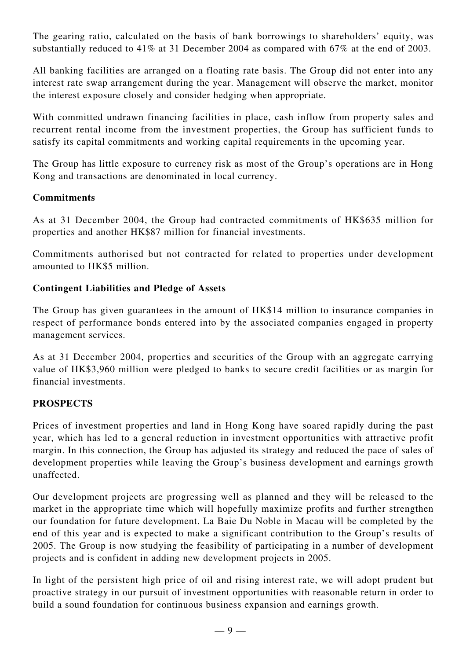The gearing ratio, calculated on the basis of bank borrowings to shareholders' equity, was substantially reduced to 41% at 31 December 2004 as compared with 67% at the end of 2003.

All banking facilities are arranged on a floating rate basis. The Group did not enter into any interest rate swap arrangement during the year. Management will observe the market, monitor the interest exposure closely and consider hedging when appropriate.

With committed undrawn financing facilities in place, cash inflow from property sales and recurrent rental income from the investment properties, the Group has sufficient funds to satisfy its capital commitments and working capital requirements in the upcoming year.

The Group has little exposure to currency risk as most of the Group's operations are in Hong Kong and transactions are denominated in local currency.

#### **Commitments**

As at 31 December 2004, the Group had contracted commitments of HK\$635 million for properties and another HK\$87 million for financial investments.

Commitments authorised but not contracted for related to properties under development amounted to HK\$5 million.

#### **Contingent Liabilities and Pledge of Assets**

The Group has given guarantees in the amount of HK\$14 million to insurance companies in respect of performance bonds entered into by the associated companies engaged in property management services.

As at 31 December 2004, properties and securities of the Group with an aggregate carrying value of HK\$3,960 million were pledged to banks to secure credit facilities or as margin for financial investments.

#### **PROSPECTS**

Prices of investment properties and land in Hong Kong have soared rapidly during the past year, which has led to a general reduction in investment opportunities with attractive profit margin. In this connection, the Group has adjusted its strategy and reduced the pace of sales of development properties while leaving the Group's business development and earnings growth unaffected.

Our development projects are progressing well as planned and they will be released to the market in the appropriate time which will hopefully maximize profits and further strengthen our foundation for future development. La Baie Du Noble in Macau will be completed by the end of this year and is expected to make a significant contribution to the Group's results of 2005. The Group is now studying the feasibility of participating in a number of development projects and is confident in adding new development projects in 2005.

In light of the persistent high price of oil and rising interest rate, we will adopt prudent but proactive strategy in our pursuit of investment opportunities with reasonable return in order to build a sound foundation for continuous business expansion and earnings growth.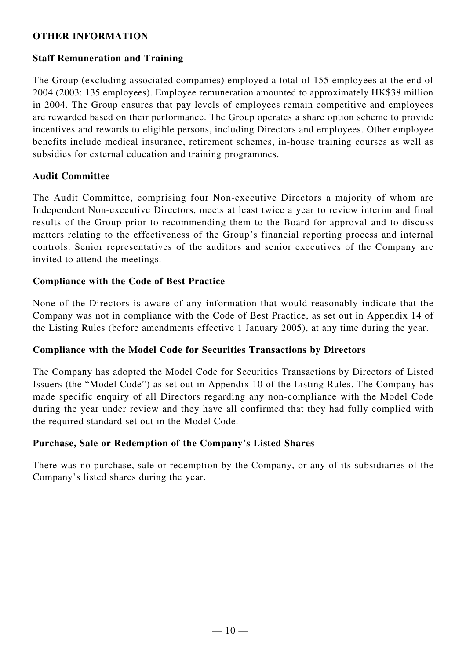### **OTHER INFORMATION**

#### **Staff Remuneration and Training**

The Group (excluding associated companies) employed a total of 155 employees at the end of 2004 (2003: 135 employees). Employee remuneration amounted to approximately HK\$38 million in 2004. The Group ensures that pay levels of employees remain competitive and employees are rewarded based on their performance. The Group operates a share option scheme to provide incentives and rewards to eligible persons, including Directors and employees. Other employee benefits include medical insurance, retirement schemes, in-house training courses as well as subsidies for external education and training programmes.

#### **Audit Committee**

The Audit Committee, comprising four Non-executive Directors a majority of whom are Independent Non-executive Directors, meets at least twice a year to review interim and final results of the Group prior to recommending them to the Board for approval and to discuss matters relating to the effectiveness of the Group's financial reporting process and internal controls. Senior representatives of the auditors and senior executives of the Company are invited to attend the meetings.

#### **Compliance with the Code of Best Practice**

None of the Directors is aware of any information that would reasonably indicate that the Company was not in compliance with the Code of Best Practice, as set out in Appendix 14 of the Listing Rules (before amendments effective 1 January 2005), at any time during the year.

#### **Compliance with the Model Code for Securities Transactions by Directors**

The Company has adopted the Model Code for Securities Transactions by Directors of Listed Issuers (the "Model Code") as set out in Appendix 10 of the Listing Rules. The Company has made specific enquiry of all Directors regarding any non-compliance with the Model Code during the year under review and they have all confirmed that they had fully complied with the required standard set out in the Model Code.

#### **Purchase, Sale or Redemption of the Company's Listed Shares**

There was no purchase, sale or redemption by the Company, or any of its subsidiaries of the Company's listed shares during the year.